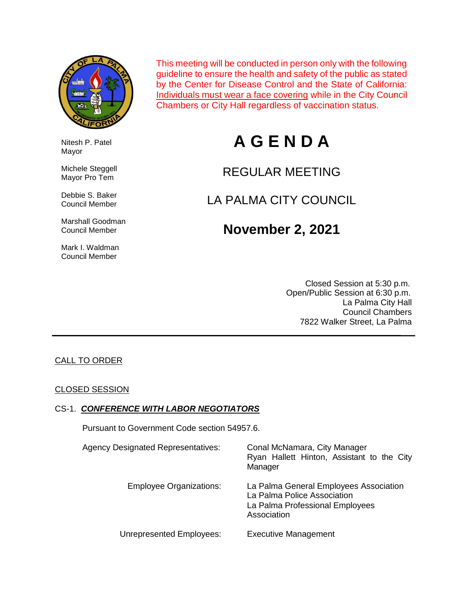

Nitesh P. Patel

 Michele Steggell Mayor Pro Tem

 Debbie S. Baker Council Member

 Marshall Goodman Council Member

 Mark I. Waldman Council Member

Mayor

This meeting will be conducted in person only with the following guideline to ensure the health and safety of the public as stated by the Center for Disease Control and the State of California: Individuals must wear a face covering while in the City Council Chambers or City Hall regardless of vaccination status.

# **A G E N D A**

## REGULAR MEETING

## LA PALMA CITY COUNCIL

## **November 2, 2021**

 Closed Session at 5:30 p.m. Open/Public Session at 6:30 p.m. La Palma City Hall Council Chambers 7822 Walker Street, La Palma

#### CALL TO ORDER

#### CLOSED SESSION

#### CS-1. *CONFERENCE WITH LABOR NEGOTIATORS*

Pursuant to Government Code section 54957.6.

| <b>Agency Designated Representatives:</b> | Conal McNamara, City Manager<br>Ryan Hallett Hinton, Assistant to the City<br>Manager                                   |
|-------------------------------------------|-------------------------------------------------------------------------------------------------------------------------|
| <b>Employee Organizations:</b>            | La Palma General Employees Association<br>La Palma Police Association<br>La Palma Professional Employees<br>Association |
| Unrepresented Employees:                  | <b>Executive Management</b>                                                                                             |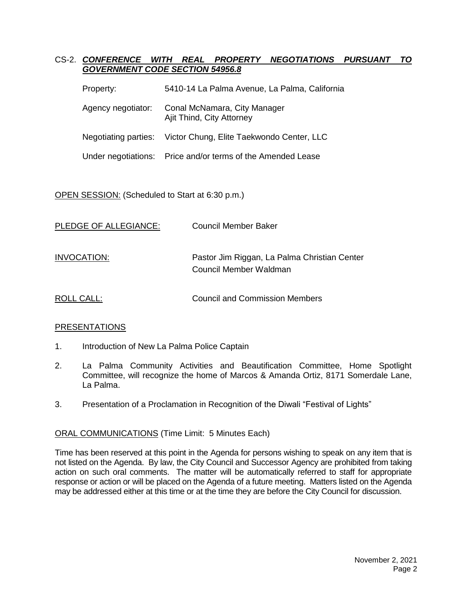#### CS-2. *CONFERENCE WITH REAL PROPERTY NEGOTIATIONS PURSUANT TO GOVERNMENT CODE SECTION 54956.8*

| 5410-14 La Palma Avenue, La Palma, California                  |
|----------------------------------------------------------------|
| Conal McNamara, City Manager<br>Ajit Thind, City Attorney      |
| Negotiating parties: Victor Chung, Elite Taekwondo Center, LLC |
| Under negotiations: Price and/or terms of the Amended Lease    |
|                                                                |

#### OPEN SESSION: (Scheduled to Start at 6:30 p.m.)

| PLEDGE OF ALLEGIANCE: | Council Member Baker                                                   |
|-----------------------|------------------------------------------------------------------------|
| INVOCATION:           | Pastor Jim Riggan, La Palma Christian Center<br>Council Member Waldman |
| ROLL CALL:            | Council and Commission Members                                         |

#### PRESENTATIONS

- 1. Introduction of New La Palma Police Captain
- 2. La Palma Community Activities and Beautification Committee, Home Spotlight Committee, will recognize the home of Marcos & Amanda Ortiz, 8171 Somerdale Lane, La Palma.
- 3. Presentation of a Proclamation in Recognition of the Diwali "Festival of Lights"

#### ORAL COMMUNICATIONS (Time Limit: 5 Minutes Each)

Time has been reserved at this point in the Agenda for persons wishing to speak on any item that is not listed on the Agenda. By law, the City Council and Successor Agency are prohibited from taking action on such oral comments. The matter will be automatically referred to staff for appropriate response or action or will be placed on the Agenda of a future meeting. Matters listed on the Agenda may be addressed either at this time or at the time they are before the City Council for discussion.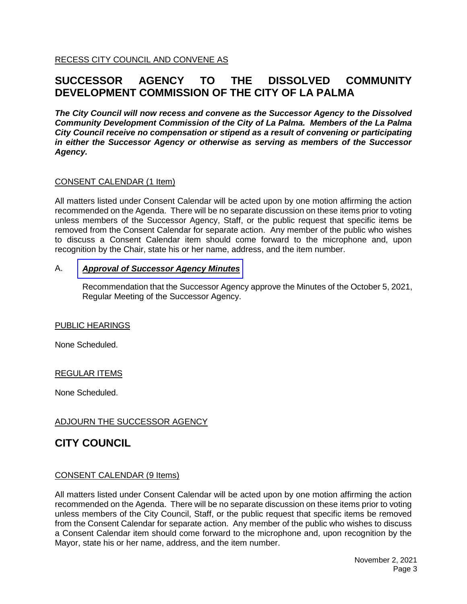RECESS CITY COUNCIL AND CONVENE AS

### **SUCCESSOR AGENCY TO THE DISSOLVED COMMUNITY DEVELOPMENT COMMISSION OF THE CITY OF LA PALMA**

*The City Council will now recess and convene as the Successor Agency to the Dissolved Community Development Commission of the City of La Palma. Members of the La Palma City Council receive no compensation or stipend as a result of convening or participating in either the Successor Agency or otherwise as serving as members of the Successor Agency.*

#### CONSENT CALENDAR (1 Item)

All matters listed under Consent Calendar will be acted upon by one motion affirming the action recommended on the Agenda. There will be no separate discussion on these items prior to voting unless members of the Successor Agency, Staff, or the public request that specific items be removed from the Consent Calendar for separate action. Any member of the public who wishes to discuss a Consent Calendar item should come forward to the microphone and, upon recognition by the Chair, state his or her name, address, and the item number.

#### A. *Approval of [Successor](https://www.cityoflapalma.org/DocumentCenter/View/11198/Item-A_SA-Minutes) Agency Minutes*

Recommendation that the Successor Agency approve the Minutes of the October 5, 2021, Regular Meeting of the Successor Agency.

#### PUBLIC HEARINGS

None Scheduled.

#### REGULAR ITEMS

None Scheduled.

#### ADJOURN THE SUCCESSOR AGENCY

### **CITY COUNCIL**

#### CONSENT CALENDAR (9 Items)

All matters listed under Consent Calendar will be acted upon by one motion affirming the action recommended on the Agenda. There will be no separate discussion on these items prior to voting unless members of the City Council, Staff, or the public request that specific items be removed from the Consent Calendar for separate action. Any member of the public who wishes to discuss a Consent Calendar item should come forward to the microphone and, upon recognition by the Mayor, state his or her name, address, and the item number.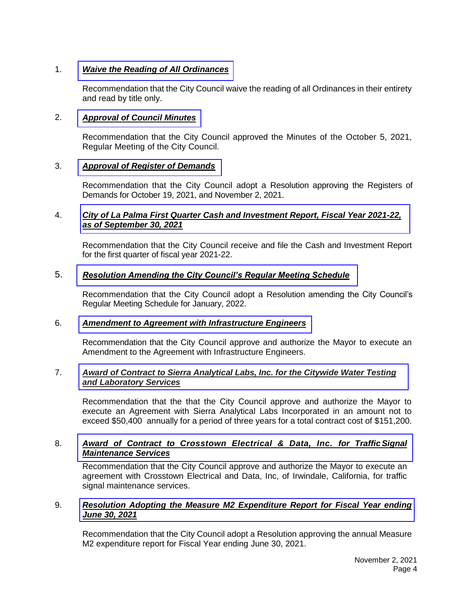#### 1. *[Waive the Reading of All Ordinances](https://www.cityoflapalma.org/DocumentCenter/View/11199/Item-1_Read-Ordinances-by-Title)*

Recommendation that the City Council waive the reading of all Ordinances in their entirety and read by title only.

#### 2. *[Approval of Council Minutes](https://www.cityoflapalma.org/DocumentCenter/View/11200/Item-2_City-Council-Minutes)*

Recommendation that the City Council approved the Minutes of the October 5, 2021, Regular Meeting of the City Council.

#### 3. *[Approval of Register of Demands](https://www.cityoflapalma.org/DocumentCenter/View/11201/Item-3_CC-Warrants)*

Recommendation that the City Council adopt a Resolution approving the Registers of Demands for October 19, 2021, and November 2, 2021.

#### 4. *[City of La Palma First Quarter Cash and Investment Report, Fiscal Year 2021-22,](https://www.cityoflapalma.org/DocumentCenter/View/11202/Item-4_City-Cash-and-Investment-Report-2021930)  as of September 30, 2021*

Recommendation that the City Council receive and file the Cash and Investment Report for the first quarter of fiscal year 2021-22.

#### 5. *[Resolution Amending the City Council's Regular Meeting Schedule](https://www.cityoflapalma.org/DocumentCenter/View/11203/Item-5_Change-Council-Meeting-Schedule-by-Resolution)*

Recommendation that the City Council adopt a Resolution amending the City Council's Regular Meeting Schedule for January, 2022.

#### 6. *[Amendment to Agreement with Infrastructure Engineers](https://www.cityoflapalma.org/DocumentCenter/View/11190/Item-6_Infrastructure-Engineers-Amendment)*

Recommendation that the City Council approve and authorize the Mayor to execute an Amendment to the Agreement with Infrastructure Engineers.

#### 7. *Award of Contract to [Sierra Analytical Labs, Inc. for the Citywide Water Testing](https://www.cityoflapalma.org/DocumentCenter/View/11191/Item-7_AOC-Water-Lab-Services)  and Laboratory Services*

Recommendation that the that the City Council approve and authorize the Mayor to execute an Agreement with Sierra Analytical Labs Incorporated in an amount not to exceed \$50,400 annually for a period of three years for a total contract cost of \$151,200.

#### 8. *Award of Contract to [Crosstown Electrical & Data, Inc.](https://www.cityoflapalma.org/DocumentCenter/View/11192/Item-8_Traffic-Signal-Minatenance) for TrafficSignal Maintenance Services*

Recommendation that the City Council approve and authorize the Mayor to execute an agreement with Crosstown Electrical and Data, Inc, of Irwindale, California, for traffic signal maintenance services.

#### 9. *[Resolution Adopting the Measure M2 Expenditure Report for Fiscal Year ending](https://www.cityoflapalma.org/DocumentCenter/View/11193/Item-9_FY21-M2-Expenditure-Report)  June 30, 2021*

Recommendation that the City Council adopt a Resolution approving the annual Measure M2 expenditure report for Fiscal Year ending June 30, 2021.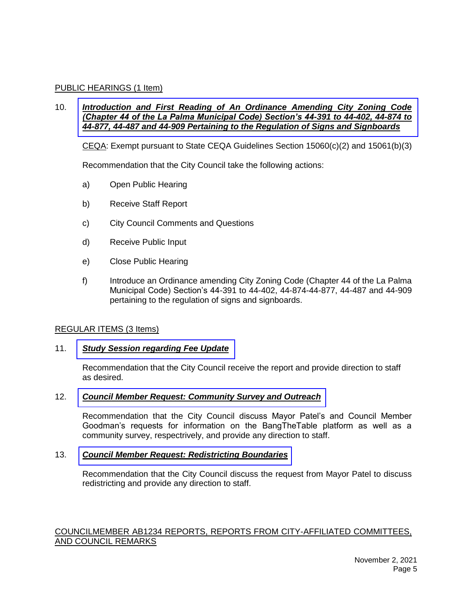#### PUBLIC HEARINGS (1 Item)

#### 10. *Introduction and First Reading of An Ordinance Amending City Zoning Code [\(Chapter 44 of the La Palma Municipal Code\) Section's 44-391 to 44-402, 44-874 to](https://www.cityoflapalma.org/DocumentCenter/View/11194/Item-10_Signage_Ordinance_Staff_Report-vFinal)  44-877, 44-487 and 44-909 Pertaining to the Regulation of Signs and Signboards*

CEQA: Exempt pursuant to State CEQA Guidelines Section  $15060(c)(2)$  and  $15061(b)(3)$ 

Recommendation that the City Council take the following actions:

- a) Open Public Hearing
- b) Receive Staff Report
- c) City Council Comments and Questions
- d) Receive Public Input
- e) Close Public Hearing
- f) Introduce an Ordinance amending City Zoning Code (Chapter 44 of the La Palma Municipal Code) Section's 44-391 to 44-402, 44-874-44-877, 44-487 and 44-909 pertaining to the regulation of signs and signboards.

#### REGULAR ITEMS (3 Items)

#### 11. *Study Session [regarding Fee Update](https://www.cityoflapalma.org/DocumentCenter/View/11195/Item-11_Fee-Study-Session-2021_22)*

Recommendation that the City Council receive the report and provide direction to staff as desired.

#### 12. *[Council Member Request: Community Survey and Outreach](https://www.cityoflapalma.org/DocumentCenter/View/11196/Item-12_Community-Survey)*

Recommendation that the City Council discuss Mayor Patel's and Council Member Goodman's requests for information on the BangTheTable platform as well as a community survey, respectrively, and provide any direction to staff.

#### 13. *[Council Member Request: Redistricting Boundaries](https://www.cityoflapalma.org/DocumentCenter/View/11197/Item-13_Redistricting)*

Recommendation that the City Council discuss the request from Mayor Patel to discuss redistricting and provide any direction to staff.

#### COUNCILMEMBER AB1234 REPORTS, REPORTS FROM CITY-AFFILIATED COMMITTEES, AND COUNCIL REMARKS